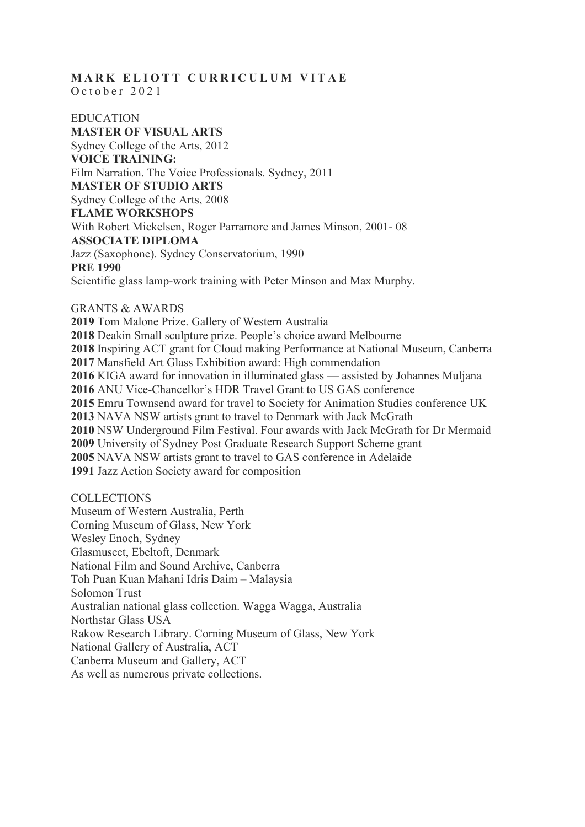# **MARK ELIOTT CURRICULUM VITAE** October 2021

EDUCATION **MASTER OF VISUAL ARTS** Sydney College of the Arts, 2012 **VOICE TRAINING:** Film Narration. The Voice Professionals. Sydney, 2011 **MASTER OF STUDIO ARTS** Sydney College of the Arts, 2008 **FLAME WORKSHOPS** With Robert Mickelsen, Roger Parramore and James Minson, 2001- 08 **ASSOCIATE DIPLOMA** Jazz (Saxophone). Sydney Conservatorium, 1990 **PRE 1990** Scientific glass lamp-work training with Peter Minson and Max Murphy.

## GRANTS & AWARDS

 Tom Malone Prize. Gallery of Western Australia Deakin Small sculpture prize. People's choice award Melbourne Inspiring ACT grant for Cloud making Performance at National Museum, Canberra Mansfield Art Glass Exhibition award: High commendation KIGA award for innovation in illuminated glass — assisted by Johannes Muljana ANU Vice-Chancellor's HDR Travel Grant to US GAS conference Emru Townsend award for travel to Society for Animation Studies conference UK NAVA NSW artists grant to travel to Denmark with Jack McGrath NSW Underground Film Festival. Four awards with Jack McGrath for Dr Mermaid University of Sydney Post Graduate Research Support Scheme grant NAVA NSW artists grant to travel to GAS conference in Adelaide Jazz Action Society award for composition

## **COLLECTIONS**

Museum of Western Australia, Perth Corning Museum of Glass, New York Wesley Enoch, Sydney Glasmuseet, Ebeltoft, Denmark National Film and Sound Archive, Canberra Toh Puan Kuan Mahani Idris Daim – Malaysia Solomon Trust Australian national glass collection. Wagga Wagga, Australia Northstar Glass USA Rakow Research Library. Corning Museum of Glass, New York National Gallery of Australia, ACT Canberra Museum and Gallery, ACT As well as numerous private collections.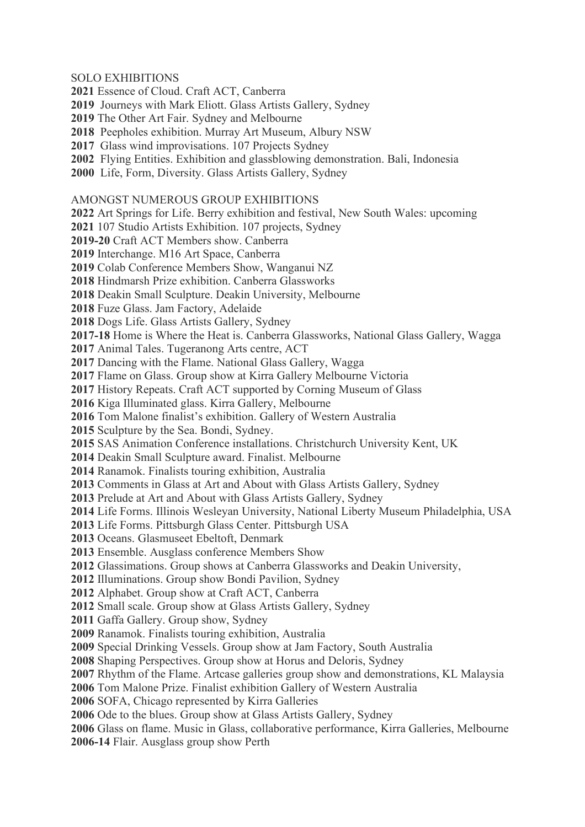## SOLO EXHIBITIONS

- Essence of Cloud. Craft ACT, Canberra
- Journeys with Mark Eliott. Glass Artists Gallery, Sydney
- The Other Art Fair. Sydney and Melbourne
- Peepholes exhibition. Murray Art Museum, Albury NSW
- Glass wind improvisations. 107 Projects Sydney
- Flying Entities. Exhibition and glassblowing demonstration. Bali, Indonesia
- Life, Form, Diversity. Glass Artists Gallery, Sydney

#### AMONGST NUMEROUS GROUP EXHIBITIONS

Art Springs for Life. Berry exhibition and festival, New South Wales: upcoming

107 Studio Artists Exhibition. 107 projects, Sydney

**2019-20** Craft ACT Members show. Canberra

Interchange. M16 Art Space, Canberra

Colab Conference Members Show, Wanganui NZ

Hindmarsh Prize exhibition. Canberra Glassworks

Deakin Small Sculpture. Deakin University, Melbourne

Fuze Glass. Jam Factory, Adelaide

Dogs Life. Glass Artists Gallery, Sydney

**2017-18** Home is Where the Heat is. Canberra Glassworks, National Glass Gallery, Wagga

Animal Tales. Tugeranong Arts centre, ACT

Dancing with the Flame. National Glass Gallery, Wagga

Flame on Glass. Group show at Kirra Gallery Melbourne Victoria

History Repeats. Craft ACT supported by Corning Museum of Glass

Kiga Illuminated glass. Kirra Gallery, Melbourne

Tom Malone finalist's exhibition. Gallery of Western Australia

Sculpture by the Sea. Bondi, Sydney.

SAS Animation Conference installations. Christchurch University Kent, UK

Deakin Small Sculpture award. Finalist. Melbourne

Ranamok. Finalists touring exhibition, Australia

Comments in Glass at Art and About with Glass Artists Gallery, Sydney

Prelude at Art and About with Glass Artists Gallery, Sydney

Life Forms. Illinois Wesleyan University, National Liberty Museum Philadelphia, USA

Life Forms. Pittsburgh Glass Center. Pittsburgh USA

Oceans. Glasmuseet Ebeltoft, Denmark

Ensemble. Ausglass conference Members Show

Glassimations. Group shows at Canberra Glassworks and Deakin University,

Illuminations. Group show Bondi Pavilion, Sydney

Alphabet. Group show at Craft ACT, Canberra

Small scale. Group show at Glass Artists Gallery, Sydney

Gaffa Gallery. Group show, Sydney

Ranamok. Finalists touring exhibition, Australia

Special Drinking Vessels. Group show at Jam Factory, South Australia

Shaping Perspectives. Group show at Horus and Deloris, Sydney

Rhythm of the Flame. Artcase galleries group show and demonstrations, KL Malaysia

Tom Malone Prize. Finalist exhibition Gallery of Western Australia

SOFA, Chicago represented by Kirra Galleries

Ode to the blues. Group show at Glass Artists Gallery, Sydney

Glass on flame. Music in Glass, collaborative performance, Kirra Galleries, Melbourne

**2006-14** Flair. Ausglass group show Perth